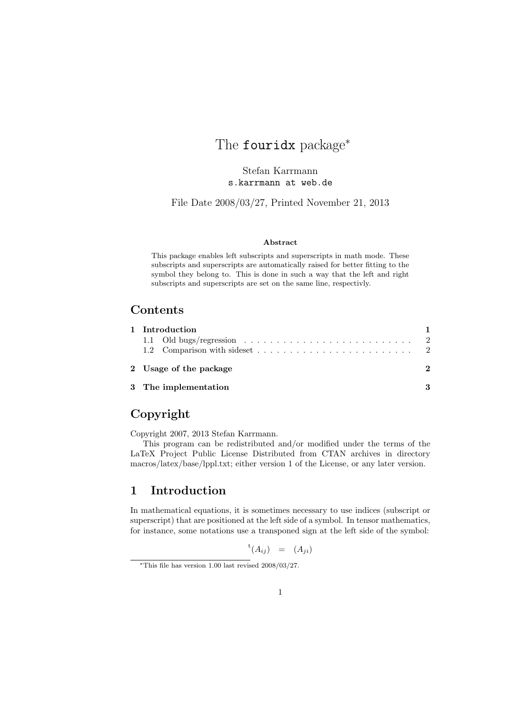# The fouridx package<sup>∗</sup>

Stefan Karrmann s.karrmann at web.de

File Date 2008/03/27, Printed November 21, 2013

#### Abstract

This package enables left subscripts and superscripts in math mode. These subscripts and superscripts are automatically raised for better fitting to the symbol they belong to. This is done in such a way that the left and right subscripts and superscripts are set on the same line, respectivly.

### Contents

| 1 Introduction         |  |
|------------------------|--|
|                        |  |
| 2 Usage of the package |  |
| 3 The implementation   |  |

## Copyright

Copyright 2007, 2013 Stefan Karrmann.

This program can be redistributed and/or modified under the terms of the LaTeX Project Public License Distributed from CTAN archives in directory macros/latex/base/lppl.txt; either version 1 of the License, or any later version.

### 1 Introduction

In mathematical equations, it is sometimes necessary to use indices (subscript or superscript) that are positioned at the left side of a symbol. In tensor mathematics, for instance, some notations use a transponed sign at the left side of the symbol:

$$
{}^{\rm t}(A_{ij})\quad =\quad (A_{ji})
$$

<sup>∗</sup>This file has version 1.00 last revised 2008/03/27.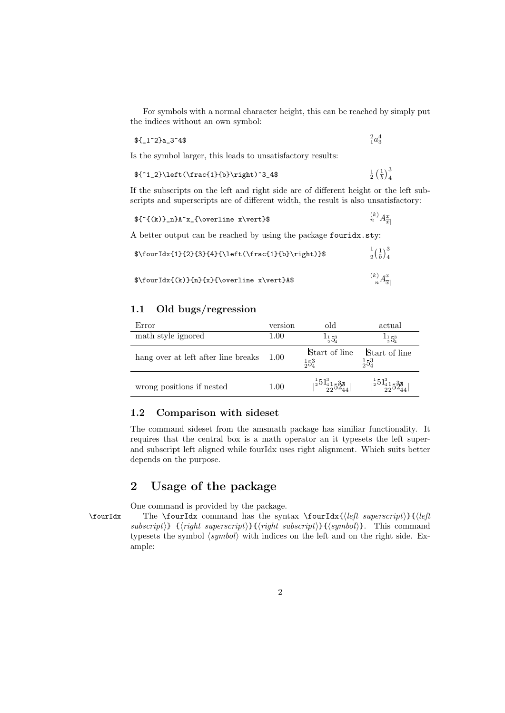For symbols with a normal character height, this can be reached by simply put the indices without an own symbol:

$$
f_1^2a_2^2a_3^4
$$

 $^{2}_{1}a_{3}^{4}$ 

Is the symbol larger, this leads to unsatisfactory results:

$$
\{^1_2\}\left(\frac{1}{b}\right)\right)^3_4
$$
  $\frac{1}{b}$   $\frac{1}{b}$ 

If the subscripts on the left and right side are of different height or the left subscripts and superscripts are of different width, the result is also unsatisfactory:

$$
f^{(k)}_n}A^x_{\overline{x}}\{\overline{v}x\,\overline{v}x\}\
$$

A better output can be reached by using the package fouridx.sty:

| $\{0\}^{2}{3}{4}{\left(\frac{1}{b}\right)}$  | $\frac{1}{2}(\frac{1}{b})_4^3$     |
|----------------------------------------------|------------------------------------|
| $\{ \cup \} \{ n\}( x \over line x \vert \}$ | $\binom{k}{n}A_{\overline{x}}^{x}$ |

#### 1.1 Old bugs/regression

| Error                               | version  | old                                   | actual                               |
|-------------------------------------|----------|---------------------------------------|--------------------------------------|
| math style ignored                  | $1.00\,$ | $^{11}5^{3}$                          | $^{11}5^{3}$                         |
| hang over at left after line breaks | - 1.00   | Start of line<br>$\frac{1}{2}5^3$     | Start of line<br>$\frac{1}{2}5_4^3$  |
| wrong positions if nested           | 1.00     | $\frac{1}{2}5^{13}_{-23}5^{38}_{-24}$ | $\frac{1}{2}5^{13}_{41}5^{38}_{244}$ |

#### 1.2 Comparison with sideset

The command sideset from the amsmath package has similiar functionality. It requires that the central box is a math operator an it typesets the left superand subscript left aligned while fourIdx uses right alignment. Which suits better depends on the purpose.

### 2 Usage of the package

One command is provided by the package. \fourIdx The \fourIdx command has the syntax \fourIdx{ $\left\{left\{left\right\} \right\}$ }{\left  $subscript{}$ } { $\langle right\ superscript{}y\rightarrow\{right\}$ } { $\langle right\ subscript{}y\rightarrow\{right\}$ } { $\langle symbol\rangle$ }. This command typesets the symbol  $\langle symbol \rangle$  with indices on the left and on the right side. Example: